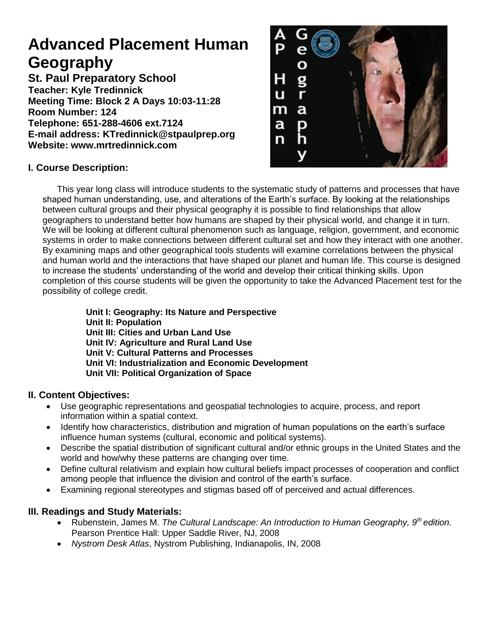# **Advanced Placement Human Geography**

**St. Paul Preparatory School Teacher: Kyle Tredinnick Meeting Time: Block 2 A Days 10:03-11:28 Room Number: 124 Telephone: 651-288-4606 ext.7124 E-mail address: KTredinnick@stpaulprep.org Website: www.mrtredinnick.com**



# **I. Course Description:**

This year long class will introduce students to the systematic study of patterns and processes that have shaped human understanding, use, and alterations of the Earth's surface. By looking at the relationships between cultural groups and their physical geography it is possible to find relationships that allow geographers to understand better how humans are shaped by their physical world, and change it in turn. We will be looking at different cultural phenomenon such as language, religion, government, and economic systems in order to make connections between different cultural set and how they interact with one another. By examining maps and other geographical tools students will examine correlations between the physical and human world and the interactions that have shaped our planet and human life. This course is designed to increase the students' understanding of the world and develop their critical thinking skills. Upon completion of this course students will be given the opportunity to take the Advanced Placement test for the possibility of college credit.

**Unit I: Geography: Its Nature and Perspective Unit II: Population Unit III: Cities and Urban Land Use Unit IV: Agriculture and Rural Land Use Unit V: Cultural Patterns and Processes Unit VI: Industrialization and Economic Development Unit VII: Political Organization of Space**

# **II. Content Objectives:**

- Use geographic representations and geospatial technologies to acquire, process, and report information within a spatial context.
- Identify how characteristics, distribution and migration of human populations on the earth's surface influence human systems (cultural, economic and political systems).
- Describe the spatial distribution of significant cultural and/or ethnic groups in the United States and the world and how/why these patterns are changing over time.
- Define cultural relativism and explain how cultural beliefs impact processes of cooperation and conflict among people that influence the division and control of the earth's surface.
- Examining regional stereotypes and stigmas based off of perceived and actual differences.

#### **III. Readings and Study Materials:**

- Rubenstein, James M. *The Cultural Landscape: An Introduction to Human Geography, 9th edition.* Pearson Prentice Hall: Upper Saddle River, NJ, 2008
- *Nystrom Desk Atlas*, Nystrom Publishing, Indianapolis, IN, 2008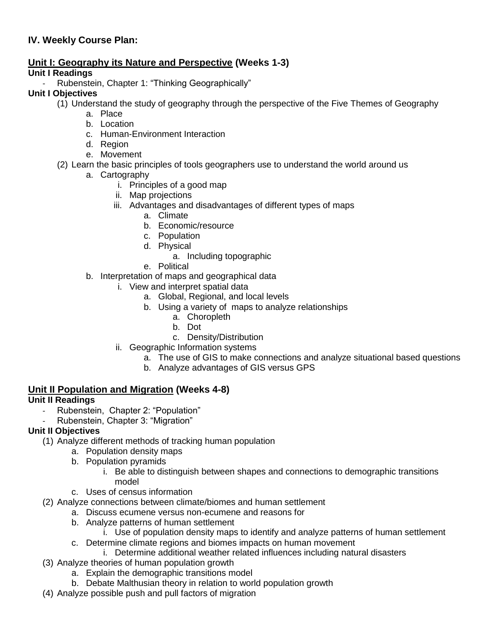# **IV. Weekly Course Plan:**

#### **Unit I: Geography its Nature and Perspective (Weeks 1-3)**

#### **Unit I Readings**

Rubenstein, Chapter 1: "Thinking Geographically"

#### **Unit I Objectives**

- (1) Understand the study of geography through the perspective of the Five Themes of Geography
	- a. Place
		- b. Location
		- c. Human-Environment Interaction
		- d. Region
		- e. Movement
- (2) Learn the basic principles of tools geographers use to understand the world around us
	- a. Cartography
		- i. Principles of a good map
		- ii. Map projections
		- iii. Advantages and disadvantages of different types of maps
			- a. Climate
			- b. Economic/resource
			- c. Population
			- d. Physical
				- a. Including topographic
			- e. Political
	- b. Interpretation of maps and geographical data
		- i. View and interpret spatial data
			- a. Global, Regional, and local levels
			- b. Using a variety of maps to analyze relationships
				- a. Choropleth
				- b. Dot
				- c. Density/Distribution
		- ii. Geographic Information systems
			- a. The use of GIS to make connections and analyze situational based questions
			- b. Analyze advantages of GIS versus GPS

#### **Unit II Population and Migration (Weeks 4-8)**

# **Unit II Readings**

- Rubenstein, Chapter 2: "Population"
- Rubenstein, Chapter 3: "Migration"

#### **Unit II Objectives**

- (1) Analyze different methods of tracking human population
	- a. Population density maps
	- b. Population pyramids
		- i. Be able to distinguish between shapes and connections to demographic transitions model
	- c. Uses of census information
- (2) Analyze connections between climate/biomes and human settlement
	- a. Discuss ecumene versus non-ecumene and reasons for
		- b. Analyze patterns of human settlement
			- i. Use of population density maps to identify and analyze patterns of human settlement
		- c. Determine climate regions and biomes impacts on human movement
			- i. Determine additional weather related influences including natural disasters
- (3) Analyze theories of human population growth
	- a. Explain the demographic transitions model
	- b. Debate Malthusian theory in relation to world population growth
- (4) Analyze possible push and pull factors of migration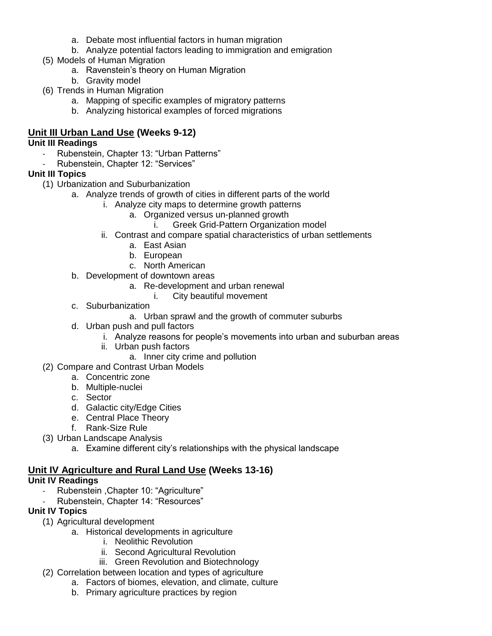- a. Debate most influential factors in human migration
- b. Analyze potential factors leading to immigration and emigration
- (5) Models of Human Migration
	- a. Ravenstein's theory on Human Migration
	- b. Gravity model
- (6) Trends in Human Migration
	- a. Mapping of specific examples of migratory patterns
	- b. Analyzing historical examples of forced migrations

# **Unit III Urban Land Use (Weeks 9-12)**

#### **Unit III Readings**

- Rubenstein, Chapter 13: "Urban Patterns"
- Rubenstein, Chapter 12: "Services"

# **Unit III Topics**

- (1) Urbanization and Suburbanization
	- a. Analyze trends of growth of cities in different parts of the world
		- i. Analyze city maps to determine growth patterns
			- a. Organized versus un-planned growth
				- i. Greek Grid-Pattern Organization model
		- ii. Contrast and compare spatial characteristics of urban settlements
			- a. East Asian
			- b. European
			- c. North American
	- b. Development of downtown areas
		- a. Re-development and urban renewal
			- i. City beautiful movement
	- c. Suburbanization
		- a. Urban sprawl and the growth of commuter suburbs
	- d. Urban push and pull factors
		- i. Analyze reasons for people's movements into urban and suburban areas
		- ii. Urban push factors
			- a. Inner city crime and pollution
- (2) Compare and Contrast Urban Models
	- a. Concentric zone
	- b. Multiple-nuclei
	- c. Sector
	- d. Galactic city/Edge Cities
	- e. Central Place Theory
	- f. Rank-Size Rule
- (3) Urban Landscape Analysis
	- a. Examine different city's relationships with the physical landscape

# **Unit IV Agriculture and Rural Land Use (Weeks 13-16)**

# **Unit IV Readings**

- Rubenstein ,Chapter 10: "Agriculture"
- Rubenstein, Chapter 14: "Resources"

# **Unit IV Topics**

- (1) Agricultural development
	- a. Historical developments in agriculture
		- i. Neolithic Revolution
		- ii. Second Agricultural Revolution
		- iii. Green Revolution and Biotechnology
- (2) Correlation between location and types of agriculture
	- a. Factors of biomes, elevation, and climate, culture
	- b. Primary agriculture practices by region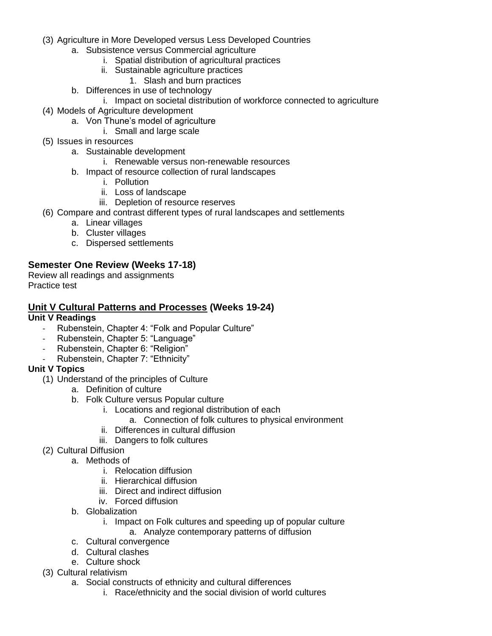- (3) Agriculture in More Developed versus Less Developed Countries
	- a. Subsistence versus Commercial agriculture
		- i. Spatial distribution of agricultural practices
		- ii. Sustainable agriculture practices
			- 1. Slash and burn practices
	- b. Differences in use of technology
		- i. Impact on societal distribution of workforce connected to agriculture
- (4) Models of Agriculture development
	- a. Von Thune's model of agriculture
		- i. Small and large scale
- (5) Issues in resources
	- a. Sustainable development
		- i. Renewable versus non-renewable resources
	- b. Impact of resource collection of rural landscapes
		- i. Pollution
		- ii. Loss of landscape
		- iii. Depletion of resource reserves
- (6) Compare and contrast different types of rural landscapes and settlements
	- a. Linear villages
	- b. Cluster villages
	- c. Dispersed settlements

# **Semester One Review (Weeks 17-18)**

Review all readings and assignments Practice test

#### **Unit V Cultural Patterns and Processes (Weeks 19-24)**

#### **Unit V Readings**

- Rubenstein, Chapter 4: "Folk and Popular Culture"
- Rubenstein, Chapter 5: "Language"
- Rubenstein, Chapter 6: "Religion"
- Rubenstein, Chapter 7: "Ethnicity"

#### **Unit V Topics**

- (1) Understand of the principles of Culture
	- a. Definition of culture
	- b. Folk Culture versus Popular culture
		- i. Locations and regional distribution of each
			- a. Connection of folk cultures to physical environment
		- ii. Differences in cultural diffusion
		- iii. Dangers to folk cultures
- (2) Cultural Diffusion
	- a. Methods of
		- i. Relocation diffusion
		- ii. Hierarchical diffusion
		- iii. Direct and indirect diffusion
		- iv. Forced diffusion
		- b. Globalization
			- i. Impact on Folk cultures and speeding up of popular culture a. Analyze contemporary patterns of diffusion
		- c. Cultural convergence
		- d. Cultural clashes
		- e. Culture shock
- (3) Cultural relativism
	- a. Social constructs of ethnicity and cultural differences
		- i. Race/ethnicity and the social division of world cultures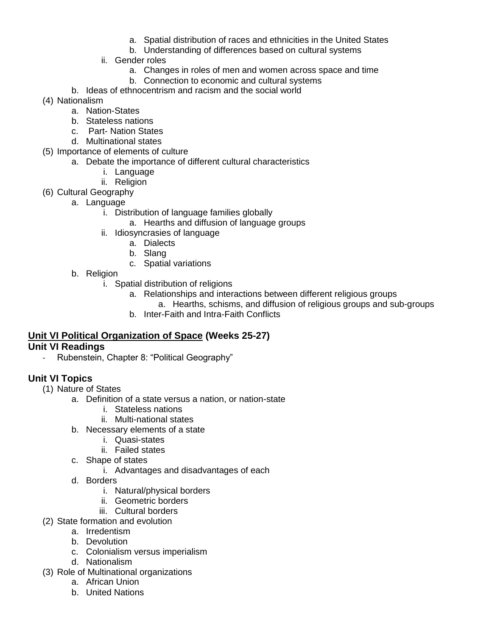- a. Spatial distribution of races and ethnicities in the United States
- b. Understanding of differences based on cultural systems
- ii. Gender roles
	- a. Changes in roles of men and women across space and time
	- b. Connection to economic and cultural systems
- b. Ideas of ethnocentrism and racism and the social world
- (4) Nationalism
	- a. Nation-States
	- b. Stateless nations
	- c. Part- Nation States
	- d. Multinational states
- (5) Importance of elements of culture
	- a. Debate the importance of different cultural characteristics
		- i. Language
		- ii. Religion
- (6) Cultural Geography
	- a. Language
		- i. Distribution of language families globally
			- a. Hearths and diffusion of language groups
		- ii. Idiosyncrasies of language
			- a. Dialects
			- b. Slang
			- c. Spatial variations
	- b. Religion
		- i. Spatial distribution of religions
			- a. Relationships and interactions between different religious groups
			- a. Hearths, schisms, and diffusion of religious groups and sub-groups
			- b. Inter-Faith and Intra-Faith Conflicts

#### **Unit VI Political Organization of Space (Weeks 25-27) Unit VI Readings**

Rubenstein, Chapter 8: "Political Geography"

# **Unit VI Topics**

- (1) Nature of States
	- a. Definition of a state versus a nation, or nation-state
		- i. Stateless nations
		- ii. Multi-national states
	- b. Necessary elements of a state
		- i. Quasi-states
		- ii. Failed states
	- c. Shape of states
		- i. Advantages and disadvantages of each
	- d. Borders
		- i. Natural/physical borders
		- ii. Geometric borders
		- iii. Cultural borders
- (2) State formation and evolution
	- a. Irredentism
	- b. Devolution
	- c. Colonialism versus imperialism
	- d. Nationalism
- (3) Role of Multinational organizations
	- a. African Union
	- b. United Nations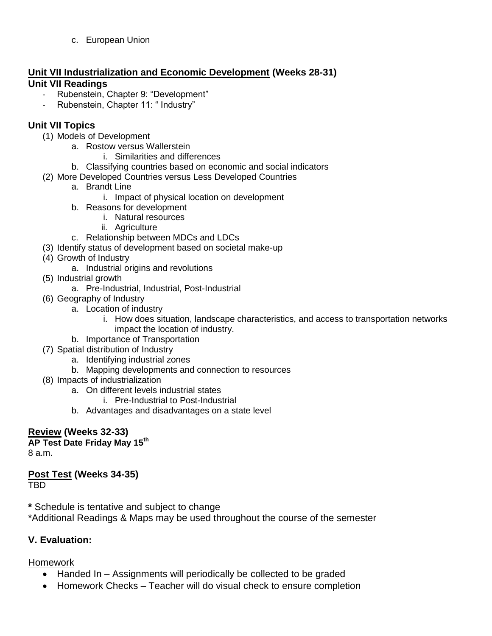c. European Union

# **Unit VII Industrialization and Economic Development (Weeks 28-31) Unit VII Readings**

- Rubenstein, Chapter 9: "Development"
- Rubenstein, Chapter 11: " Industry"

# **Unit VII Topics**

- (1) Models of Development
	- a. Rostow versus Wallerstein
		- i. Similarities and differences
	- b. Classifying countries based on economic and social indicators
- (2) More Developed Countries versus Less Developed Countries
	- a. Brandt Line
		- i. Impact of physical location on development
	- b. Reasons for development
		- i. Natural resources
		- ii. Agriculture
	- c. Relationship between MDCs and LDCs
- (3) Identify status of development based on societal make-up
- (4) Growth of Industry
	- a. Industrial origins and revolutions
- (5) Industrial growth
	- a. Pre-Industrial, Industrial, Post-Industrial
- (6) Geography of Industry
	- a. Location of industry
		- i. How does situation, landscape characteristics, and access to transportation networks impact the location of industry.
	- b. Importance of Transportation
- (7) Spatial distribution of Industry
	- a. Identifying industrial zones
	- b. Mapping developments and connection to resources
- (8) Impacts of industrialization
	- a. On different levels industrial states
		- i. Pre-Industrial to Post-Industrial
	- b. Advantages and disadvantages on a state level

# **Review (Weeks 32-33)**

# **AP Test Date Friday May 15th**

8 a.m.

# **Post Test (Weeks 34-35)**

TBD

- **\*** Schedule is tentative and subject to change
- \*Additional Readings & Maps may be used throughout the course of the semester

# **V. Evaluation:**

# **Homework**

- Handed In Assignments will periodically be collected to be graded
- Homework Checks Teacher will do visual check to ensure completion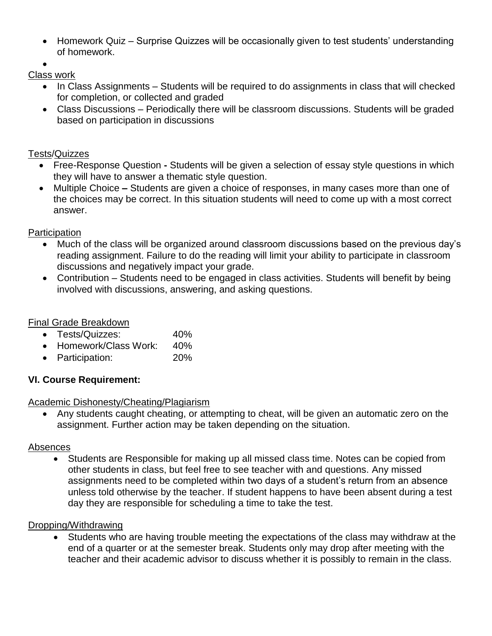• Homework Quiz – Surprise Quizzes will be occasionally given to test students' understanding of homework.

#### $\bullet$ Class work

- In Class Assignments Students will be required to do assignments in class that will checked for completion, or collected and graded
- Class Discussions Periodically there will be classroom discussions. Students will be graded based on participation in discussions

# Tests/Quizzes

- Free-Response Question **-** Students will be given a selection of essay style questions in which they will have to answer a thematic style question.
- Multiple Choice **–** Students are given a choice of responses, in many cases more than one of the choices may be correct. In this situation students will need to come up with a most correct answer.

# **Participation**

- Much of the class will be organized around classroom discussions based on the previous day's reading assignment. Failure to do the reading will limit your ability to participate in classroom discussions and negatively impact your grade.
- Contribution Students need to be engaged in class activities. Students will benefit by being involved with discussions, answering, and asking questions.

# Final Grade Breakdown

- Tests/Quizzes: 40%
- Homework/Class Work: 40%
- Participation: 20%

# **VI. Course Requirement:**

# Academic Dishonesty/Cheating/Plagiarism

 Any students caught cheating, or attempting to cheat, will be given an automatic zero on the assignment. Further action may be taken depending on the situation.

# Absences

 Students are Responsible for making up all missed class time. Notes can be copied from other students in class, but feel free to see teacher with and questions. Any missed assignments need to be completed within two days of a student's return from an absence unless told otherwise by the teacher. If student happens to have been absent during a test day they are responsible for scheduling a time to take the test.

# Dropping/Withdrawing

 Students who are having trouble meeting the expectations of the class may withdraw at the end of a quarter or at the semester break. Students only may drop after meeting with the teacher and their academic advisor to discuss whether it is possibly to remain in the class.